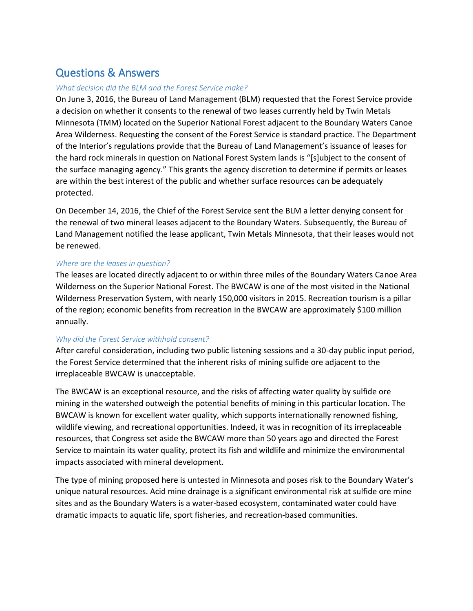# Questions & Answers

# *What decision did the BLM and the Forest Service make?*

On June 3, 2016, the Bureau of Land Management (BLM) requested that the Forest Service provide a decision on whether it consents to the renewal of two leases currently held by Twin Metals Minnesota (TMM) located on the Superior National Forest adjacent to the Boundary Waters Canoe Area Wilderness. Requesting the consent of the Forest Service is standard practice. The Department of the Interior's regulations provide that the Bureau of Land Management's issuance of leases for the hard rock minerals in question on National Forest System lands is "[s]ubject to the consent of the surface managing agency." This grants the agency discretion to determine if permits or leases are within the best interest of the public and whether surface resources can be adequately protected.

On December 14, 2016, the Chief of the Forest Service sent the BLM a letter denying consent for the renewal of two mineral leases adjacent to the Boundary Waters. Subsequently, the Bureau of Land Management notified the lease applicant, Twin Metals Minnesota, that their leases would not be renewed.

# *Where are the leases in question?*

The leases are located directly adjacent to or within three miles of the Boundary Waters Canoe Area Wilderness on the Superior National Forest. The BWCAW is one of the most visited in the National Wilderness Preservation System, with nearly 150,000 visitors in 2015. Recreation tourism is a pillar of the region; economic benefits from recreation in the BWCAW are approximately \$100 million annually.

# *Why did the Forest Service withhold consent?*

After careful consideration, including two public listening sessions and a 30-day public input period, the Forest Service determined that the inherent risks of mining sulfide ore adjacent to the irreplaceable BWCAW is unacceptable.

The BWCAW is an exceptional resource, and the risks of affecting water quality by sulfide ore mining in the watershed outweigh the potential benefits of mining in this particular location. The BWCAW is known for excellent water quality, which supports internationally renowned fishing, wildlife viewing, and recreational opportunities. Indeed, it was in recognition of its irreplaceable resources, that Congress set aside the BWCAW more than 50 years ago and directed the Forest Service to maintain its water quality, protect its fish and wildlife and minimize the environmental impacts associated with mineral development.

The type of mining proposed here is untested in Minnesota and poses risk to the Boundary Water's unique natural resources. Acid mine drainage is a significant environmental risk at sulfide ore mine sites and as the Boundary Waters is a water-based ecosystem, contaminated water could have dramatic impacts to aquatic life, sport fisheries, and recreation-based communities.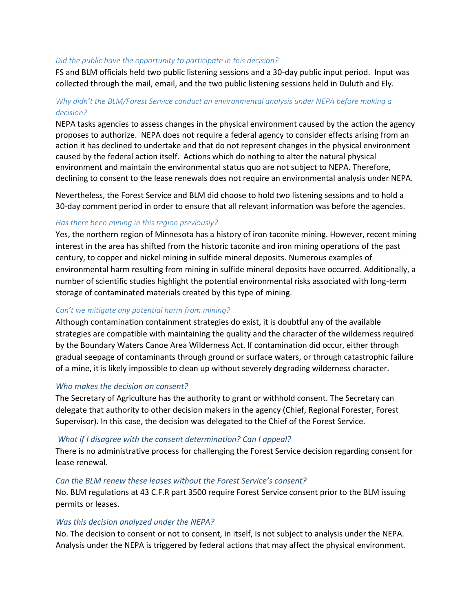### *Did the public have the opportunity to participate in this decision?*

FS and BLM officials held two public listening sessions and a 30-day public input period. Input was collected through the mail, email, and the two public listening sessions held in Duluth and Ely.

# *Why didn't the BLM/Forest Service conduct an environmental analysis under NEPA before making a decision?*

NEPA tasks agencies to assess changes in the physical environment caused by the action the agency proposes to authorize. NEPA does not require a federal agency to consider effects arising from an action it has declined to undertake and that do not represent changes in the physical environment caused by the federal action itself. Actions which do nothing to alter the natural physical environment and maintain the environmental status quo are not subject to NEPA. Therefore, declining to consent to the lease renewals does not require an environmental analysis under NEPA.

Nevertheless, the Forest Service and BLM did choose to hold two listening sessions and to hold a 30-day comment period in order to ensure that all relevant information was before the agencies.

## *Has there been mining in this region previously?*

Yes, the northern region of Minnesota has a history of iron taconite mining. However, recent mining interest in the area has shifted from the historic taconite and iron mining operations of the past century, to copper and nickel mining in sulfide mineral deposits. Numerous examples of environmental harm resulting from mining in sulfide mineral deposits have occurred. Additionally, a number of scientific studies highlight the potential environmental risks associated with long-term storage of contaminated materials created by this type of mining.

## *Can't we mitigate any potential harm from mining?*

Although contamination containment strategies do exist, it is doubtful any of the available strategies are compatible with maintaining the quality and the character of the wilderness required by the Boundary Waters Canoe Area Wilderness Act. If contamination did occur, either through gradual seepage of contaminants through ground or surface waters, or through catastrophic failure of a mine, it is likely impossible to clean up without severely degrading wilderness character.

#### *Who makes the decision on consent?*

The Secretary of Agriculture has the authority to grant or withhold consent. The Secretary can delegate that authority to other decision makers in the agency (Chief, Regional Forester, Forest Supervisor). In this case, the decision was delegated to the Chief of the Forest Service.

## *What if I disagree with the consent determination? Can I appeal?*

There is no administrative process for challenging the Forest Service decision regarding consent for lease renewal.

# *Can the BLM renew these leases without the Forest Service's consent?*

No. BLM regulations at 43 C.F.R part 3500 require Forest Service consent prior to the BLM issuing permits or leases.

#### *Was this decision analyzed under the NEPA?*

No. The decision to consent or not to consent, in itself, is not subject to analysis under the NEPA. Analysis under the NEPA is triggered by federal actions that may affect the physical environment.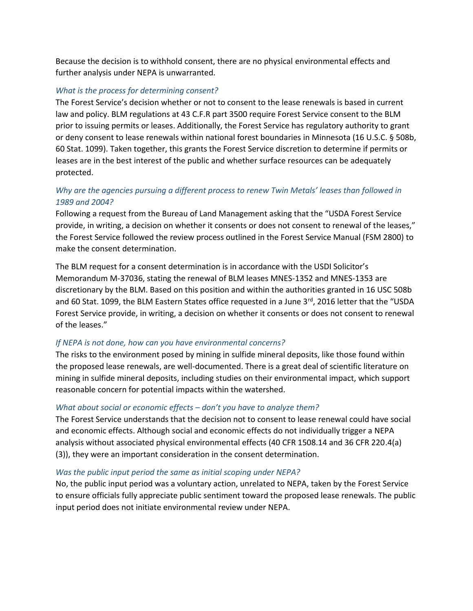Because the decision is to withhold consent, there are no physical environmental effects and further analysis under NEPA is unwarranted.

# *What is the process for determining consent?*

The Forest Service's decision whether or not to consent to the lease renewals is based in current law and policy. BLM regulations at 43 C.F.R part 3500 require Forest Service consent to the BLM prior to issuing permits or leases. Additionally, the Forest Service has regulatory authority to grant or deny consent to lease renewals within national forest boundaries in Minnesota (16 U.S.C. § 508b, 60 Stat. 1099). Taken together, this grants the Forest Service discretion to determine if permits or leases are in the best interest of the public and whether surface resources can be adequately protected.

# *Why are the agencies pursuing a different process to renew Twin Metals' leases than followed in 1989 and 2004?*

Following a request from the Bureau of Land Management asking that the "USDA Forest Service provide, in writing, a decision on whether it consents or does not consent to renewal of the leases," the Forest Service followed the review process outlined in the Forest Service Manual (FSM 2800) to make the consent determination.

The BLM request for a consent determination is in accordance with the USDI Solicitor's Memorandum M-37036, stating the renewal of BLM leases MNES-1352 and MNES-1353 are discretionary by the BLM. Based on this position and within the authorities granted in 16 USC 508b and 60 Stat. 1099, the BLM Eastern States office requested in a June 3<sup>rd</sup>, 2016 letter that the "USDA Forest Service provide, in writing, a decision on whether it consents or does not consent to renewal of the leases."

# *If NEPA is not done, how can you have environmental concerns?*

The risks to the environment posed by mining in sulfide mineral deposits, like those found within the proposed lease renewals, are well-documented. There is a great deal of scientific literature on mining in sulfide mineral deposits, including studies on their environmental impact, which support reasonable concern for potential impacts within the watershed.

# *What about social or economic effects – don't you have to analyze them?*

The Forest Service understands that the decision not to consent to lease renewal could have social and economic effects. Although social and economic effects do not individually trigger a NEPA analysis without associated physical environmental effects (40 CFR 1508.14 and 36 CFR 220.4(a) (3)), they were an important consideration in the consent determination.

## *Was the public input period the same as initial scoping under NEPA?*

No, the public input period was a voluntary action, unrelated to NEPA, taken by the Forest Service to ensure officials fully appreciate public sentiment toward the proposed lease renewals. The public input period does not initiate environmental review under NEPA.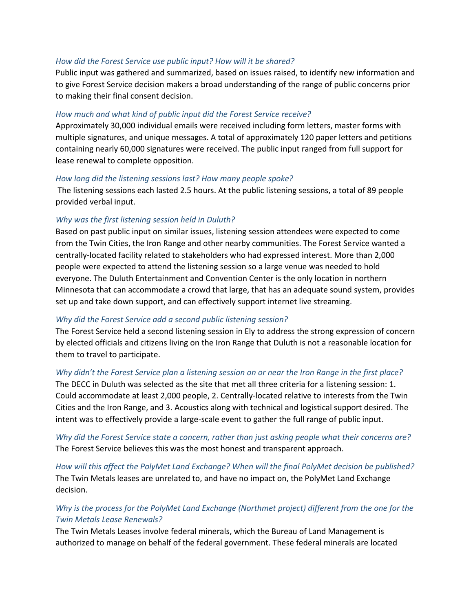# *How did the Forest Service use public input? How will it be shared?*

Public input was gathered and summarized, based on issues raised, to identify new information and to give Forest Service decision makers a broad understanding of the range of public concerns prior to making their final consent decision.

# *How much and what kind of public input did the Forest Service receive?*

Approximately 30,000 individual emails were received including form letters, master forms with multiple signatures, and unique messages. A total of approximately 120 paper letters and petitions containing nearly 60,000 signatures were received. The public input ranged from full support for lease renewal to complete opposition.

## *How long did the listening sessions last? How many people spoke?*

The listening sessions each lasted 2.5 hours. At the public listening sessions, a total of 89 people provided verbal input.

## *Why was the first listening session held in Duluth?*

Based on past public input on similar issues, listening session attendees were expected to come from the Twin Cities, the Iron Range and other nearby communities. The Forest Service wanted a centrally-located facility related to stakeholders who had expressed interest. More than 2,000 people were expected to attend the listening session so a large venue was needed to hold everyone. The Duluth Entertainment and Convention Center is the only location in northern Minnesota that can accommodate a crowd that large, that has an adequate sound system, provides set up and take down support, and can effectively support internet live streaming.

## *Why did the Forest Service add a second public listening session?*

The Forest Service held a second listening session in Ely to address the strong expression of concern by elected officials and citizens living on the Iron Range that Duluth is not a reasonable location for them to travel to participate.

## *Why didn't the Forest Service plan a listening session on or near the Iron Range in the first place?*

The DECC in Duluth was selected as the site that met all three criteria for a listening session: 1. Could accommodate at least 2,000 people, 2. Centrally-located relative to interests from the Twin Cities and the Iron Range, and 3. Acoustics along with technical and logistical support desired. The intent was to effectively provide a large-scale event to gather the full range of public input.

*Why did the Forest Service state a concern, rather than just asking people what their concerns are?* The Forest Service believes this was the most honest and transparent approach.

*How will this affect the PolyMet Land Exchange? When will the final PolyMet decision be published?* The Twin Metals leases are unrelated to, and have no impact on, the PolyMet Land Exchange decision.

# *Why is the process for the PolyMet Land Exchange (Northmet project) different from the one for the Twin Metals Lease Renewals?*

The Twin Metals Leases involve federal minerals, which the Bureau of Land Management is authorized to manage on behalf of the federal government. These federal minerals are located